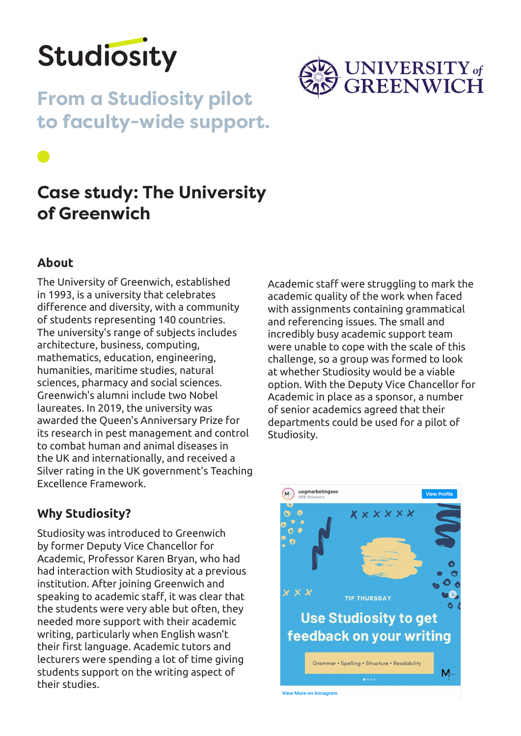

**From a Studiosity pilot to faculty-wide support.**



# **Case study: The University of Greenwich**

# **About**

The University of Greenwich, established in 1993, is a university that celebrates difference and diversity, with a community of students representing 140 countries. The university's range of subjects includes architecture, business, computing, mathematics, education, engineering, humanities, maritime studies, natural sciences, pharmacy and social sciences. Greenwich's alumni include two Nobel laureates. In 2019, the university was awarded the Queen's Anniversary Prize for its research in pest management and control to combat human and animal diseases in the UK and internationally, and received a Silver rating in the UK government's Teaching Excellence Framework.

Academic staff were struggling to mark the academic quality of the work when faced with assignments containing grammatical and referencing issues. The small and incredibly busy academic support team were unable to cope with the scale of this challenge, so a group was formed to look at whether Studiosity would be a viable option. With the Deputy Vice Chancellor for Academic in place as a sponsor, a number of senior academics agreed that their departments could be used for a pilot of Studiosity.

# **Why Studiosity?**

Studiosity was introduced to Greenwich by former Deputy Vice Chancellor for Academic, Professor Karen Bryan, who had had interaction with Studiosity at a previous institution. After joining Greenwich and speaking to academic staff, it was clear that the students were very able but often, they needed more support with their academic writing, particularly when English wasn't their first language. Academic tutors and lecturers were spending a lot of time giving students support on the writing aspect of their studies.